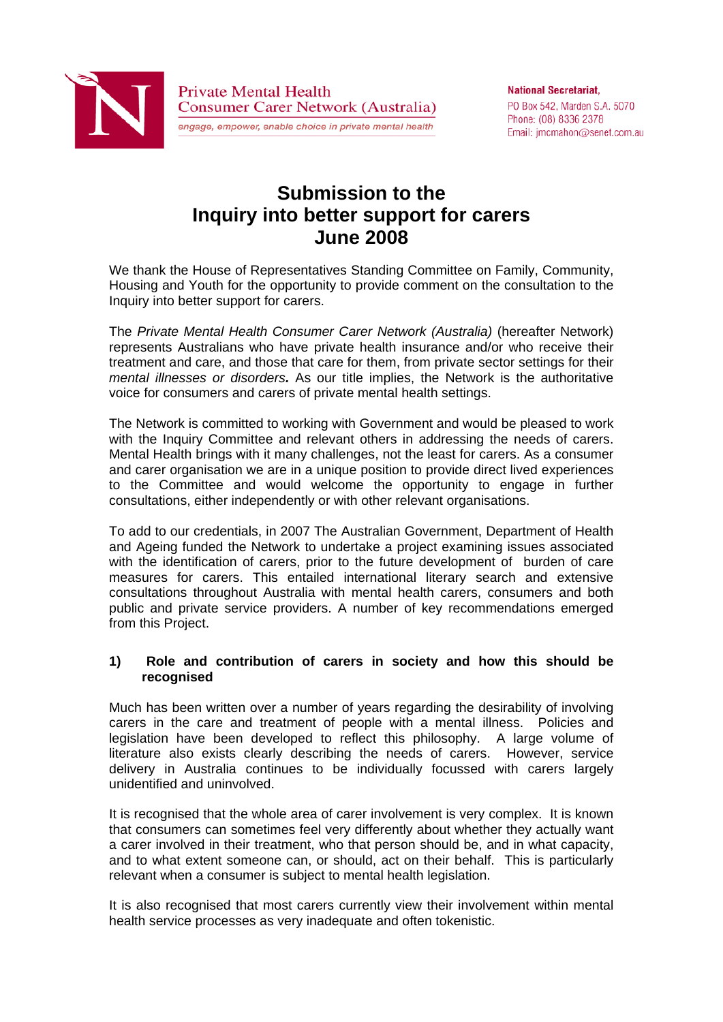

**National Secretariat.** PO Box 542, Marden S.A. 5070 Phone: (08) 8336 2378 Email: jmcmahon@senet.com.au

# **Submission to the Inquiry into better support for carers June 2008**

We thank the House of Representatives Standing Committee on Family, Community, Housing and Youth for the opportunity to provide comment on the consultation to the Inquiry into better support for carers.

The *Private Mental Health Consumer Carer Network (Australia)* (hereafter Network) represents Australians who have private health insurance and/or who receive their treatment and care, and those that care for them, from private sector settings for their *mental illnesses or disorders.* As our title implies, the Network is the authoritative voice for consumers and carers of private mental health settings.

The Network is committed to working with Government and would be pleased to work with the Inquiry Committee and relevant others in addressing the needs of carers. Mental Health brings with it many challenges, not the least for carers. As a consumer and carer organisation we are in a unique position to provide direct lived experiences to the Committee and would welcome the opportunity to engage in further consultations, either independently or with other relevant organisations.

To add to our credentials, in 2007 The Australian Government, Department of Health and Ageing funded the Network to undertake a project examining issues associated with the identification of carers, prior to the future development of burden of care measures for carers. This entailed international literary search and extensive consultations throughout Australia with mental health carers, consumers and both public and private service providers. A number of key recommendations emerged from this Project.

## **1) Role and contribution of carers in society and how this should be recognised**

Much has been written over a number of years regarding the desirability of involving carers in the care and treatment of people with a mental illness. Policies and legislation have been developed to reflect this philosophy. A large volume of literature also exists clearly describing the needs of carers. However, service delivery in Australia continues to be individually focussed with carers largely unidentified and uninvolved.

It is recognised that the whole area of carer involvement is very complex. It is known that consumers can sometimes feel very differently about whether they actually want a carer involved in their treatment, who that person should be, and in what capacity, and to what extent someone can, or should, act on their behalf. This is particularly relevant when a consumer is subject to mental health legislation.

It is also recognised that most carers currently view their involvement within mental health service processes as very inadequate and often tokenistic.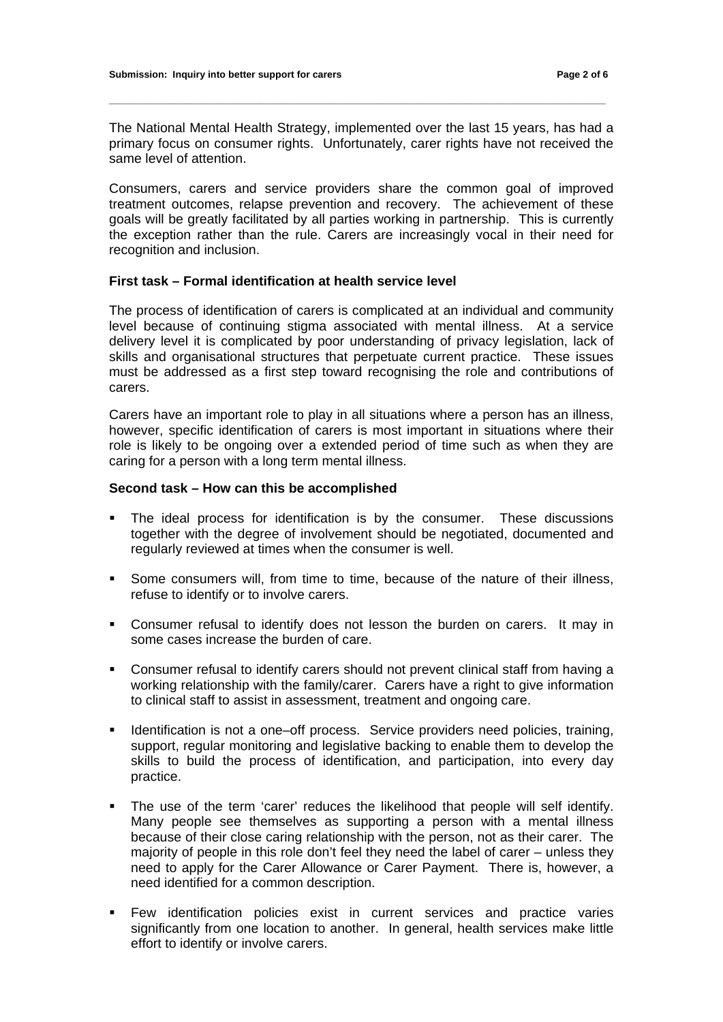The National Mental Health Strategy, implemented over the last 15 years, has had a primary focus on consumer rights. Unfortunately, carer rights have not received the same level of attention.

**\_\_\_\_\_\_\_\_\_\_\_\_\_\_\_\_\_\_\_\_\_\_\_\_\_\_\_\_\_\_\_\_\_\_\_\_\_\_\_\_\_\_\_\_\_\_\_\_\_\_\_\_\_\_\_\_\_\_\_\_\_\_\_\_\_\_\_\_\_\_\_\_\_\_\_\_\_\_\_\_\_\_\_\_\_\_\_\_\_\_\_\_** 

Consumers, carers and service providers share the common goal of improved treatment outcomes, relapse prevention and recovery. The achievement of these goals will be greatly facilitated by all parties working in partnership. This is currently the exception rather than the rule. Carers are increasingly vocal in their need for recognition and inclusion.

# **First task – Formal identification at health service level**

The process of identification of carers is complicated at an individual and community level because of continuing stigma associated with mental illness. At a service delivery level it is complicated by poor understanding of privacy legislation, lack of skills and organisational structures that perpetuate current practice. These issues must be addressed as a first step toward recognising the role and contributions of carers.

Carers have an important role to play in all situations where a person has an illness, however, specific identification of carers is most important in situations where their role is likely to be ongoing over a extended period of time such as when they are caring for a person with a long term mental illness.

### **Second task – How can this be accomplished**

- The ideal process for identification is by the consumer. These discussions together with the degree of involvement should be negotiated, documented and regularly reviewed at times when the consumer is well.
- Some consumers will, from time to time, because of the nature of their illness, refuse to identify or to involve carers.
- Consumer refusal to identify does not lesson the burden on carers. It may in some cases increase the burden of care.
- Consumer refusal to identify carers should not prevent clinical staff from having a working relationship with the family/carer. Carers have a right to give information to clinical staff to assist in assessment, treatment and ongoing care.
- Identification is not a one–off process. Service providers need policies, training, support, regular monitoring and legislative backing to enable them to develop the skills to build the process of identification, and participation, into every day practice.
- The use of the term 'carer' reduces the likelihood that people will self identify. Many people see themselves as supporting a person with a mental illness because of their close caring relationship with the person, not as their carer. The majority of people in this role don't feel they need the label of carer – unless they need to apply for the Carer Allowance or Carer Payment. There is, however, a need identified for a common description.
- Few identification policies exist in current services and practice varies significantly from one location to another. In general, health services make little effort to identify or involve carers.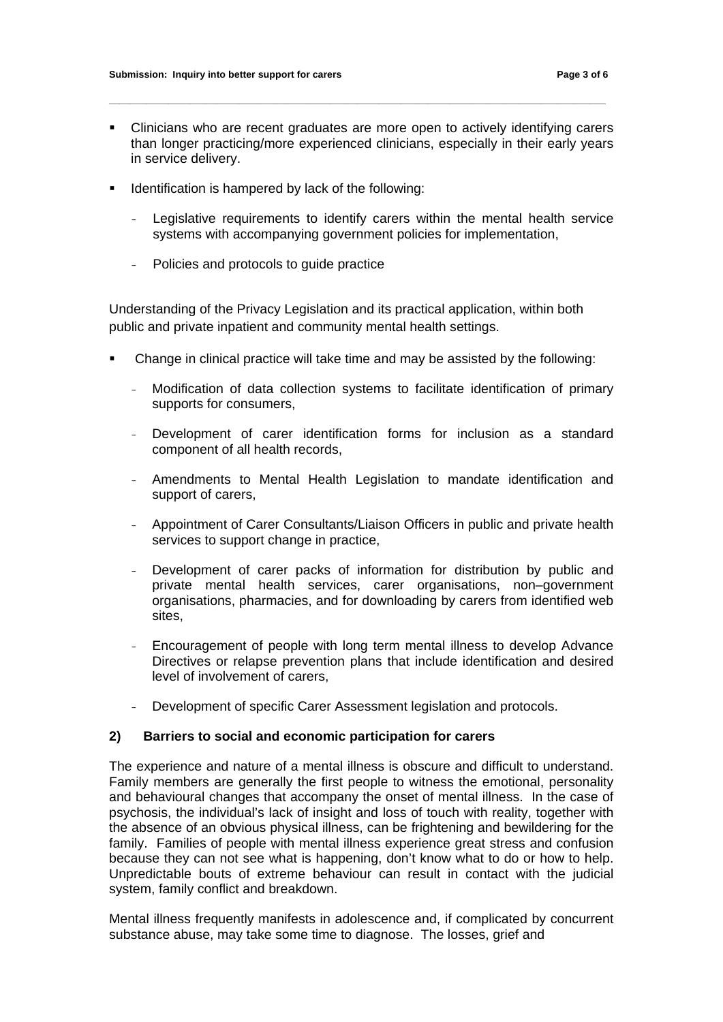Clinicians who are recent graduates are more open to actively identifying carers than longer practicing/more experienced clinicians, especially in their early years in service delivery.

**\_\_\_\_\_\_\_\_\_\_\_\_\_\_\_\_\_\_\_\_\_\_\_\_\_\_\_\_\_\_\_\_\_\_\_\_\_\_\_\_\_\_\_\_\_\_\_\_\_\_\_\_\_\_\_\_\_\_\_\_\_\_\_\_\_\_\_\_\_\_\_\_\_\_\_\_\_\_\_\_\_\_\_\_\_\_\_\_\_\_\_\_** 

- **IDENTIFICATE IS ARE IS A LOCAL THE ISLEM ICE ISLACES ISLACES ISLACES ISLACES ISLACES ISLACES ISLACES ISLACES ISLACES ISLACES ISLACES ISLACES ISLACES ISLACES ISLACES ISLACES ISLACES IS** 
	- Legislative requirements to identify carers within the mental health service systems with accompanying government policies for implementation,
	- Policies and protocols to guide practice

Understanding of the Privacy Legislation and its practical application, within both public and private inpatient and community mental health settings.

- Change in clinical practice will take time and may be assisted by the following:
	- Modification of data collection systems to facilitate identification of primary supports for consumers,
	- Development of carer identification forms for inclusion as a standard component of all health records,
	- Amendments to Mental Health Legislation to mandate identification and support of carers,
	- Appointment of Carer Consultants/Liaison Officers in public and private health services to support change in practice,
	- Development of carer packs of information for distribution by public and private mental health services, carer organisations, non–government organisations, pharmacies, and for downloading by carers from identified web sites,
	- Encouragement of people with long term mental illness to develop Advance Directives or relapse prevention plans that include identification and desired level of involvement of carers,
	- Development of specific Carer Assessment legislation and protocols.

### **2) Barriers to social and economic participation for carers**

The experience and nature of a mental illness is obscure and difficult to understand. Family members are generally the first people to witness the emotional, personality and behavioural changes that accompany the onset of mental illness. In the case of psychosis, the individual's lack of insight and loss of touch with reality, together with the absence of an obvious physical illness, can be frightening and bewildering for the family. Families of people with mental illness experience great stress and confusion because they can not see what is happening, don't know what to do or how to help. Unpredictable bouts of extreme behaviour can result in contact with the judicial system, family conflict and breakdown.

Mental illness frequently manifests in adolescence and, if complicated by concurrent substance abuse, may take some time to diagnose. The losses, grief and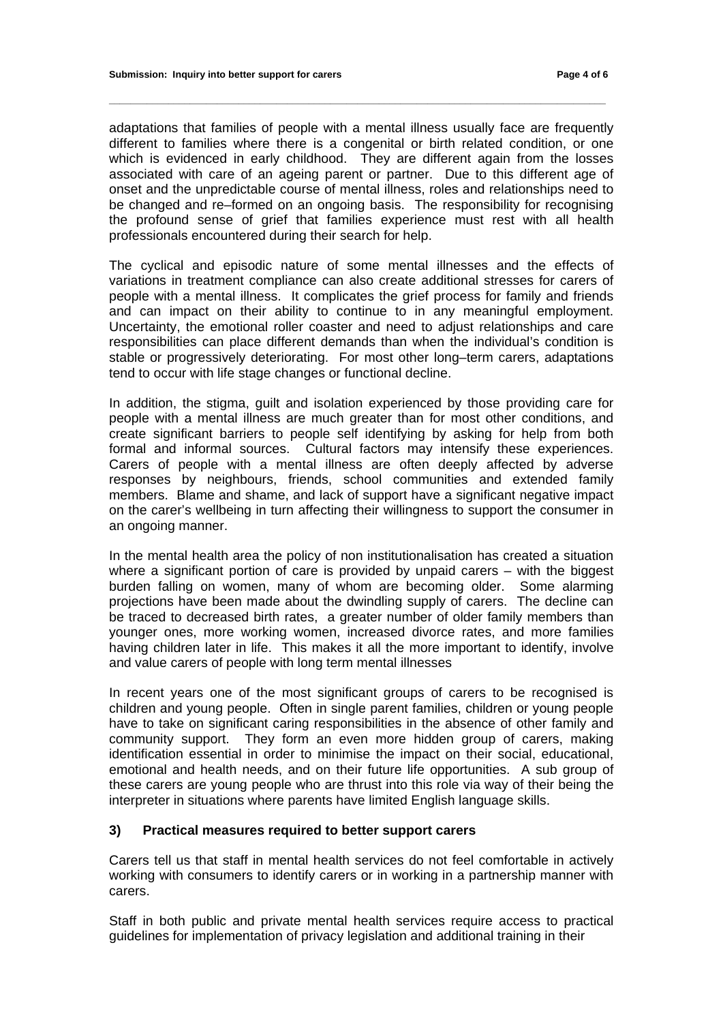adaptations that families of people with a mental illness usually face are frequently different to families where there is a congenital or birth related condition, or one which is evidenced in early childhood. They are different again from the losses associated with care of an ageing parent or partner. Due to this different age of onset and the unpredictable course of mental illness, roles and relationships need to be changed and re–formed on an ongoing basis. The responsibility for recognising the profound sense of grief that families experience must rest with all health professionals encountered during their search for help.

**\_\_\_\_\_\_\_\_\_\_\_\_\_\_\_\_\_\_\_\_\_\_\_\_\_\_\_\_\_\_\_\_\_\_\_\_\_\_\_\_\_\_\_\_\_\_\_\_\_\_\_\_\_\_\_\_\_\_\_\_\_\_\_\_\_\_\_\_\_\_\_\_\_\_\_\_\_\_\_\_\_\_\_\_\_\_\_\_\_\_\_\_** 

The cyclical and episodic nature of some mental illnesses and the effects of variations in treatment compliance can also create additional stresses for carers of people with a mental illness. It complicates the grief process for family and friends and can impact on their ability to continue to in any meaningful employment. Uncertainty, the emotional roller coaster and need to adjust relationships and care responsibilities can place different demands than when the individual's condition is stable or progressively deteriorating. For most other long–term carers, adaptations tend to occur with life stage changes or functional decline.

In addition, the stigma, guilt and isolation experienced by those providing care for people with a mental illness are much greater than for most other conditions, and create significant barriers to people self identifying by asking for help from both formal and informal sources. Cultural factors may intensify these experiences. Carers of people with a mental illness are often deeply affected by adverse responses by neighbours, friends, school communities and extended family members. Blame and shame, and lack of support have a significant negative impact on the carer's wellbeing in turn affecting their willingness to support the consumer in an ongoing manner.

In the mental health area the policy of non institutionalisation has created a situation where a significant portion of care is provided by unpaid carers – with the biggest burden falling on women, many of whom are becoming older. Some alarming projections have been made about the dwindling supply of carers. The decline can be traced to decreased birth rates, a greater number of older family members than younger ones, more working women, increased divorce rates, and more families having children later in life. This makes it all the more important to identify, involve and value carers of people with long term mental illnesses

In recent years one of the most significant groups of carers to be recognised is children and young people. Often in single parent families, children or young people have to take on significant caring responsibilities in the absence of other family and community support. They form an even more hidden group of carers, making identification essential in order to minimise the impact on their social, educational, emotional and health needs, and on their future life opportunities. A sub group of these carers are young people who are thrust into this role via way of their being the interpreter in situations where parents have limited English language skills.

#### **3) Practical measures required to better support carers**

Carers tell us that staff in mental health services do not feel comfortable in actively working with consumers to identify carers or in working in a partnership manner with carers.

Staff in both public and private mental health services require access to practical guidelines for implementation of privacy legislation and additional training in their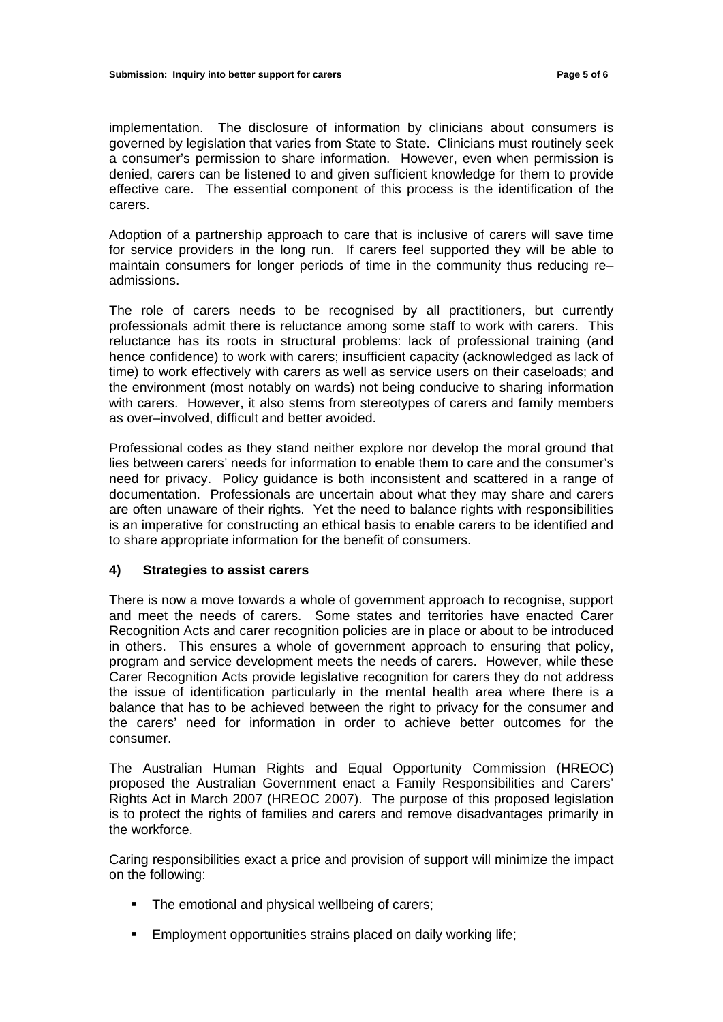implementation. The disclosure of information by clinicians about consumers is governed by legislation that varies from State to State. Clinicians must routinely seek a consumer's permission to share information. However, even when permission is denied, carers can be listened to and given sufficient knowledge for them to provide effective care. The essential component of this process is the identification of the carers.

**\_\_\_\_\_\_\_\_\_\_\_\_\_\_\_\_\_\_\_\_\_\_\_\_\_\_\_\_\_\_\_\_\_\_\_\_\_\_\_\_\_\_\_\_\_\_\_\_\_\_\_\_\_\_\_\_\_\_\_\_\_\_\_\_\_\_\_\_\_\_\_\_\_\_\_\_\_\_\_\_\_\_\_\_\_\_\_\_\_\_\_\_** 

Adoption of a partnership approach to care that is inclusive of carers will save time for service providers in the long run. If carers feel supported they will be able to maintain consumers for longer periods of time in the community thus reducing re– admissions.

The role of carers needs to be recognised by all practitioners, but currently professionals admit there is reluctance among some staff to work with carers. This reluctance has its roots in structural problems: lack of professional training (and hence confidence) to work with carers; insufficient capacity (acknowledged as lack of time) to work effectively with carers as well as service users on their caseloads; and the environment (most notably on wards) not being conducive to sharing information with carers. However, it also stems from stereotypes of carers and family members as over–involved, difficult and better avoided.

Professional codes as they stand neither explore nor develop the moral ground that lies between carers' needs for information to enable them to care and the consumer's need for privacy. Policy guidance is both inconsistent and scattered in a range of documentation. Professionals are uncertain about what they may share and carers are often unaware of their rights. Yet the need to balance rights with responsibilities is an imperative for constructing an ethical basis to enable carers to be identified and to share appropriate information for the benefit of consumers.

#### **4) Strategies to assist carers**

There is now a move towards a whole of government approach to recognise, support and meet the needs of carers. Some states and territories have enacted Carer Recognition Acts and carer recognition policies are in place or about to be introduced in others. This ensures a whole of government approach to ensuring that policy, program and service development meets the needs of carers. However, while these Carer Recognition Acts provide legislative recognition for carers they do not address the issue of identification particularly in the mental health area where there is a balance that has to be achieved between the right to privacy for the consumer and the carers' need for information in order to achieve better outcomes for the consumer.

The Australian Human Rights and Equal Opportunity Commission (HREOC) proposed the Australian Government enact a Family Responsibilities and Carers' Rights Act in March 2007 (HREOC 2007). The purpose of this proposed legislation is to protect the rights of families and carers and remove disadvantages primarily in the workforce.

Caring responsibilities exact a price and provision of support will minimize the impact on the following:

- The emotional and physical wellbeing of carers;
- **Employment opportunities strains placed on daily working life;**